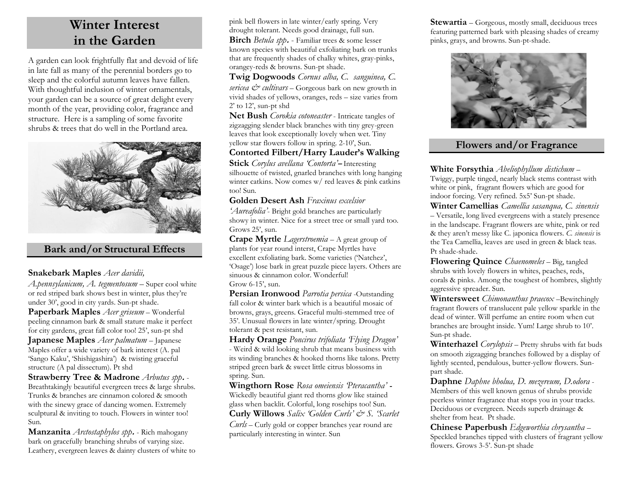## **Winter Interest in the Garden**

A garden can look frightfully flat and devoid of life in late fall as many of the perennial borders go to sleep and the colorful autumn leaves have fallen. With thoughtful inclusion of winter ornamentals, your garden can be a source of great delight every month of the year, providing color, fragrance and structure. Here is a sampling of some favorite shrubs & trees that do well in the Portland area.



## **Bark and/or Structural Effects**

#### **Snakebark Maples** *Acer davidii,*

*A.pennsylanicum, A. tegmentosum* – Super cool white or red striped bark shows best in winter, plus they're under 30', good in city yards. Sun-pt shade.

**Paperbark Maples** *Acer griseum* – Wonderful peeling cinnamon bark & small stature make it perfect for city gardens, great fall color too! 25', sun-pt shd **Japanese Maples** *Acer palmatum* – Japanese Maples offer a wide variety of bark interest (A. pal 'Sango Kaku', 'Shishigashira') & twisting graceful structure (A pal dissectum). Pt shd

**Strawberry Tree & Madrone** *Arbutus spp***.** - Breathtakingly beautiful evergreen trees & large shrubs. Trunks & branches are cinnamon colored & smooth with the sinewy grace of dancing women. Extremely sculptural & inviting to touch. Flowers in winter too! Sun.

**Manzanita** *Arctostaphylos spp***.** - Rich mahogany bark on gracefully branching shrubs of varying size. Leathery, evergreen leaves & dainty clusters of white to pink bell flowers in late winter/early spring. Very drought tolerant. Needs good drainage, full sun.

**Birch** *Betula spp***.** - Familiar trees & some lesser known species with beautiful exfoliating bark on trunks that are frequently shades of chalky whites, gray-pinks, orangey-reds & browns. Sun-pt shade.

**Twig Dogwoods** *Cornus alba, C. sanguinea, C. sericea*  $\mathcal{Q}^*$  *cultivars* – Gorgeous bark on new growth in vivid shades of yellows, oranges, reds – size varies from 2' to 12', sun-pt shd

**Net Bush** *Corokia cotoneaster* - Intricate tangles of zigzagging slender black branches with tiny grey-green leaves that look exceptionally lovely when wet. Tiny yellow star flowers follow in spring. 2-10', Sun.

#### **Contorted Filbert/Harry Lauder's Walking**

**Stick** *Corylus avellana 'Contorta'***–** Interesting silhouette of twisted, gnarled branches with long hanging winter catkins. Now comes w/ red leaves & pink catkins too! Sun.

#### **Golden Desert Ash** *Fraxinus excelsior*

*'Aureafolia'*- Bright gold branches are particularly showy in winter. Nice for a street tree or small yard too. Grows 25', sun.

**Crape Myrtle** *Lagerstroemia* – A great group of plants for year round interst, Crape Myrtles have excellent exfoliating bark. Some varieties ('Natchez', 'Osage') lose bark in great puzzle piece layers. Others are sinuous & cinnamon color. Wonderful! Grow 6-15', sun.

**Persian Ironwood** *Parrotia persica* -Outstanding fall color & winter bark which is a beautiful mosaic of browns, grays, greens. Graceful multi-stemmed tree of 35'. Unusual flowers in late winter/spring. Drought tolerant & pest resistant, sun.

**Hardy Orange** *Poncirus trifoliata 'Flying Dragon'* - Weird & wild looking shrub that means business with its winding branches & hooked thorns like talons. Pretty striped green bark & sweet little citrus blossoms in spring. Sun.

**Wingthorn Rose** *Rosa omeiensis 'Pteracantha'* **-** Wickedly beautiful giant red thorns glow like stained glass when backlit. Colorful, long rosehips too! Sun.

**Curly Willows** *Salix 'Golden Curls' & S. 'Scarlet Curls* – Curly gold or copper branches year round are

particularly interesting in winter. Sun

**Stewartia** – Gorgeous, mostly small, deciduous trees featuring patterned bark with pleasing shades of creamy pinks, grays, and browns. Sun-pt-shade.



## **Flowers and/or Fragrance**

**White Forsythia** *Abeliophyllum distichum* – Twiggy, purple tinged, nearly black stems contrast with white or pink, fragrant flowers which are good for indoor forcing. Very refined. 5x5' Sun-pt shade.

**Winter Camellias** *Camellia sasanqua, C. sinensis* – Versatile, long lived evergreens with a stately presence in the landscape. Fragrant flowers are white, pink or red & they aren't messy like C. japonica flowers. *C. sinensis* is the Tea Camellia, leaves are used in green & black teas. Pt shade-shade.

**Flowering Quince** *Chaenomeles* – Big, tangled shrubs with lovely flowers in whites, peaches, reds, corals & pinks. Among the toughest of hombres, slightly aggressive spreader. Sun.

**Wintersweet** *Chimonanthus praecox* –Bewitchingly fragrant flowers of translucent pale yellow sparkle in the dead of winter. Will perfume an entire room when cut branches are brought inside. Yum! Large shrub to 10'. Sun-pt shade.

**Winterhazel** *Corylopsis* – Pretty shrubs with fat buds on smooth zigzagging branches followed by a display of lightly scented, pendulous, butter-yellow flowers. Sunpart shade.

**Daphne** *Daphne bholua, D. mezereum, D.odora* - Members of this well known genus of shrubs provide peerless winter fragrance that stops you in your tracks. Deciduous or evergreen. Needs superb drainage & shelter from heat. Pt shade.

**Chinese Paperbush** *Edgeworthia chrysantha* – Speckled branches tipped with clusters of fragrant yellow flowers. Grows 3-5'. Sun-pt shade